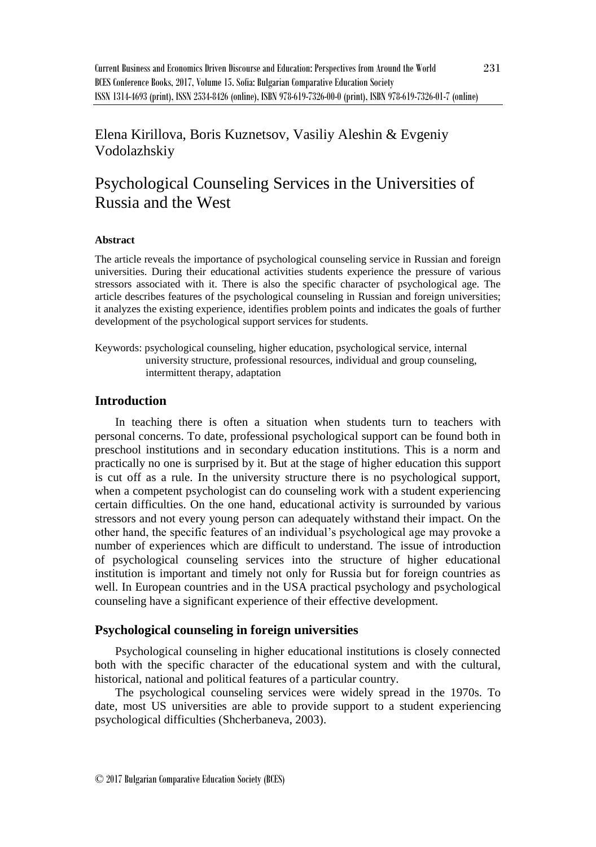# Elena Kirillova, Boris Kuznetsov, Vasiliy Aleshin & Evgeniy Vodolazhskiy

# Psychological Counseling Services in the Universities of Russia and the West

#### **Abstract**

The article reveals the importance of psychological counseling service in Russian and foreign universities. During their educational activities students experience the pressure of various stressors associated with it. There is also the specific character of psychological age. The article describes features of the psychological counseling in Russian and foreign universities; it analyzes the existing experience, identifies problem points and indicates the goals of further development of the psychological support services for students.

Keywords: psychological counseling, higher education, psychological service, internal university structure, professional resources, individual and group counseling, intermittent therapy, adaptation

#### **Introduction**

In teaching there is often a situation when students turn to teachers with personal concerns. To date, professional psychological support can be found both in preschool institutions and in secondary education institutions. This is a norm and practically no one is surprised by it. But at the stage of higher education this support is cut off as a rule. In the university structure there is no psychological support, when a competent psychologist can do counseling work with a student experiencing certain difficulties. On the one hand, educational activity is surrounded by various stressors and not every young person can adequately withstand their impact. On the other hand, the specific features of an individual's psychological age may provoke a number of experiences which are difficult to understand. The issue of introduction of psychological counseling services into the structure of higher educational institution is important and timely not only for Russia but for foreign countries as well. In European countries and in the USA practical psychology and psychological counseling have a significant experience of their effective development.

## **Psychological counseling in foreign universities**

Psychological counseling in higher educational institutions is closely connected both with the specific character of the educational system and with the cultural, historical, national and political features of a particular country.

The psychological counseling services were widely spread in the 1970s. To date, most US universities are able to provide support to a student experiencing psychological difficulties (Shcherbaneva, 2003).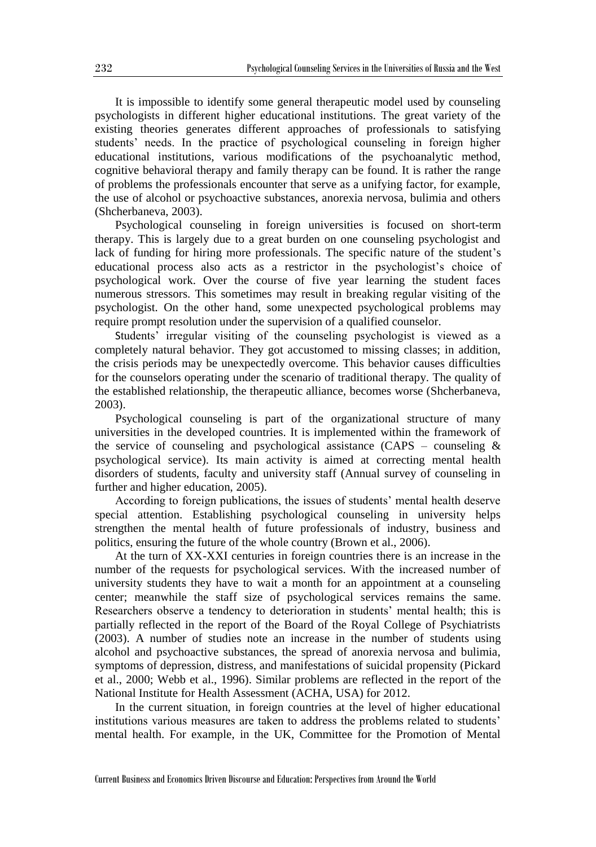It is impossible to identify some general therapeutic model used by counseling psychologists in different higher educational institutions. The great variety of the existing theories generates different approaches of professionals to satisfying students' needs. In the practice of psychological counseling in foreign higher educational institutions, various modifications of the psychoanalytic method, cognitive behavioral therapy and family therapy can be found. It is rather the range of problems the professionals encounter that serve as a unifying factor, for example, the use of alcohol or psychoactive substances, anorexia nervosa, bulimia and others (Shcherbaneva, 2003).

Psychological counseling in foreign universities is focused on short-term therapy. This is largely due to a great burden on one counseling psychologist and lack of funding for hiring more professionals. The specific nature of the student's educational process also acts as a restrictor in the psychologist's choice of psychological work. Over the course of five year learning the student faces numerous stressors. This sometimes may result in breaking regular visiting of the psychologist. On the other hand, some unexpected psychological problems may require prompt resolution under the supervision of a qualified counselor.

Students' irregular visiting of the counseling psychologist is viewed as a completely natural behavior. They got accustomed to missing classes; in addition, the crisis periods may be unexpectedly overcome. This behavior causes difficulties for the counselors operating under the scenario of traditional therapy. The quality of the established relationship, the therapeutic alliance, becomes worse (Shcherbaneva, 2003).

Psychological counseling is part of the organizational structure of many universities in the developed countries. It is implemented within the framework of the service of counseling and psychological assistance (CAPS – counseling  $\&$ psychological service). Its main activity is aimed at correcting mental health disorders of students, faculty and university staff (Annual survey of counseling in further and higher education, 2005).

According to foreign publications, the issues of students' mental health deserve special attention. Establishing psychological counseling in university helps strengthen the mental health of future professionals of industry, business and politics, ensuring the future of the whole country (Brown et al., 2006).

At the turn of XX-XXI centuries in foreign countries there is an increase in the number of the requests for psychological services. With the increased number of university students they have to wait a month for an appointment at a counseling center; meanwhile the staff size of psychological services remains the same. Researchers observe a tendency to deterioration in students' mental health; this is partially reflected in the report of the Board of the Royal College of Psychiatrists (2003). A number of studies note an increase in the number of students using alcohol and psychoactive substances, the spread of anorexia nervosa and bulimia, symptoms of depression, distress, and manifestations of suicidal propensity (Pickard et al., 2000; Webb et al., 1996). Similar problems are reflected in the report of the National Institute for Health Assessment (ACHA, USA) for 2012.

In the current situation, in foreign countries at the level of higher educational institutions various measures are taken to address the problems related to students' mental health. For example, in the UK, Committee for the Promotion of Mental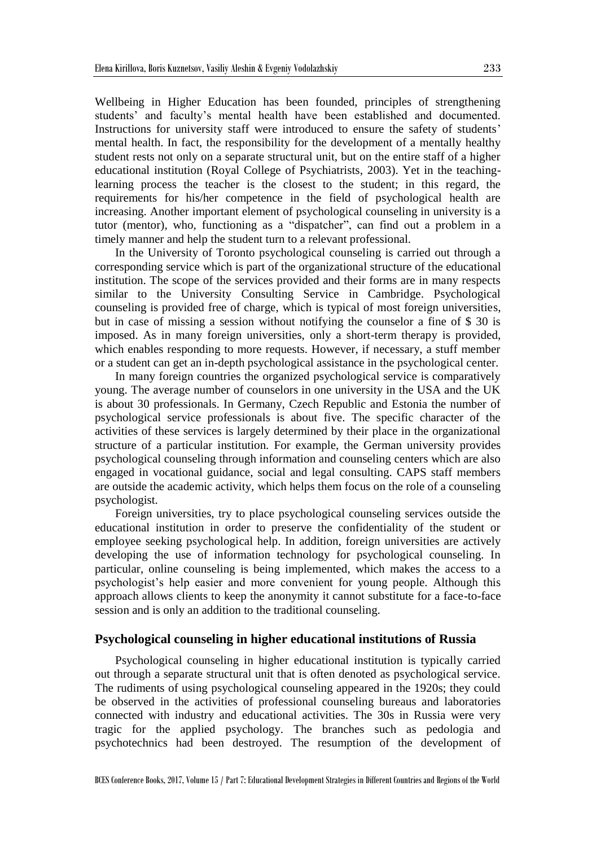Wellbeing in Higher Education has been founded, principles of strengthening students' and faculty's mental health have been established and documented. Instructions for university staff were introduced to ensure the safety of students' mental health. In fact, the responsibility for the development of a mentally healthy student rests not only on a separate structural unit, but on the entire staff of a higher educational institution (Royal College of Psychiatrists, 2003). Yet in the teachinglearning process the teacher is the closest to the student; in this regard, the requirements for his/her competence in the field of psychological health are increasing. Another important element of psychological counseling in university is a tutor (mentor), who, functioning as a "dispatcher", can find out a problem in a timely manner and help the student turn to a relevant professional.

In the University of Toronto psychological counseling is carried out through a corresponding service which is part of the organizational structure of the educational institution. The scope of the services provided and their forms are in many respects similar to the University Consulting Service in Cambridge. Psychological counseling is provided free of charge, which is typical of most foreign universities, but in case of missing a session without notifying the counselor a fine of \$ 30 is imposed. As in many foreign universities, only a short-term therapy is provided, which enables responding to more requests. However, if necessary, a stuff member or a student can get an in-depth psychological assistance in the psychological center.

In many foreign countries the organized psychological service is comparatively young. The average number of counselors in one university in the USA and the UK is about 30 professionals. In Germany, Czech Republic and Estonia the number of psychological service professionals is about five. The specific character of the activities of these services is largely determined by their place in the organizational structure of a particular institution. For example, the German university provides psychological counseling through information and counseling centers which are also engaged in vocational guidance, social and legal consulting. CAPS staff members are outside the academic activity, which helps them focus on the role of a counseling psychologist.

Foreign universities, try to place psychological counseling services outside the educational institution in order to preserve the confidentiality of the student or employee seeking psychological help. In addition, foreign universities are actively developing the use of information technology for psychological counseling. In particular, online counseling is being implemented, which makes the access to a psychologist's help easier and more convenient for young people. Although this approach allows clients to keep the anonymity it cannot substitute for a face-to-face session and is only an addition to the traditional counseling.

### **Psychological counseling in higher educational institutions of Russia**

Psychological counseling in higher educational institution is typically carried out through a separate structural unit that is often denoted as psychological service. The rudiments of using psychological counseling appeared in the 1920s; they could be observed in the activities of professional counseling bureaus and laboratories connected with industry and educational activities. The 30s in Russia were very tragic for the applied psychology. The branches such as pedologia and psychotechnics had been destroyed. The resumption of the development of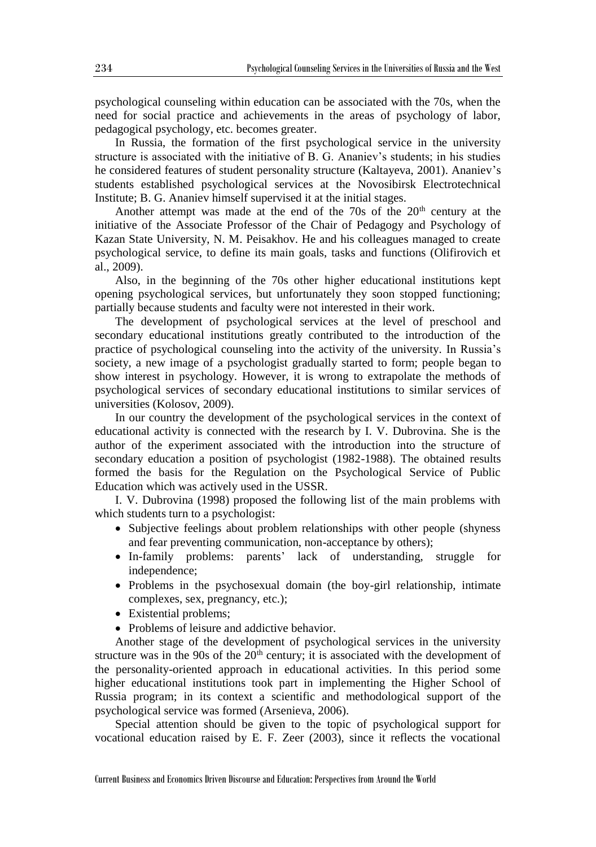psychological counseling within education can be associated with the 70s, when the need for social practice and achievements in the areas of psychology of labor, pedagogical psychology, etc. becomes greater.

In Russia, the formation of the first psychological service in the university structure is associated with the initiative of B. G. Ananiev's students; in his studies he considered features of student personality structure (Kaltayeva, 2001). Ananiev's students established psychological services at the Novosibirsk Electrotechnical Institute; B. G. Ananiev himself supervised it at the initial stages.

Another attempt was made at the end of the  $70s$  of the  $20<sup>th</sup>$  century at the initiative of the Associate Professor of the Chair of Pedagogy and Psychology of Kazan State University, N. M. Peisakhov. He and his colleagues managed to create psychological service, to define its main goals, tasks and functions (Olifirovich et al., 2009).

Also, in the beginning of the 70s other higher educational institutions kept opening psychological services, but unfortunately they soon stopped functioning; partially because students and faculty were not interested in their work.

The development of psychological services at the level of preschool and secondary educational institutions greatly contributed to the introduction of the practice of psychological counseling into the activity of the university. In Russia's society, a new image of a psychologist gradually started to form; people began to show interest in psychology. However, it is wrong to extrapolate the methods of psychological services of secondary educational institutions to similar services of universities (Kolosov, 2009).

In our country the development of the psychological services in the context of educational activity is connected with the research by I. V. Dubrovina. She is the author of the experiment associated with the introduction into the structure of secondary education a position of psychologist (1982-1988). The obtained results formed the basis for the Regulation on the Psychological Service of Public Education which was actively used in the USSR.

I. V. Dubrovina (1998) proposed the following list of the main problems with which students turn to a psychologist:

- Subjective feelings about problem relationships with other people (shyness) and fear preventing communication, non-acceptance by others);
- In-family problems: parents' lack of understanding, struggle for independence;
- Problems in the psychosexual domain (the boy-girl relationship, intimate complexes, sex, pregnancy, etc.);
- Existential problems;
- Problems of leisure and addictive behavior.

Another stage of the development of psychological services in the university structure was in the 90s of the  $20<sup>th</sup>$  century; it is associated with the development of the personality-oriented approach in educational activities. In this period some higher educational institutions took part in implementing the Higher School of Russia program; in its context a scientific and methodological support of the psychological service was formed (Arsenieva, 2006).

Special attention should be given to the topic of psychological support for vocational education raised by E. F. Zeer (2003), since it reflects the vocational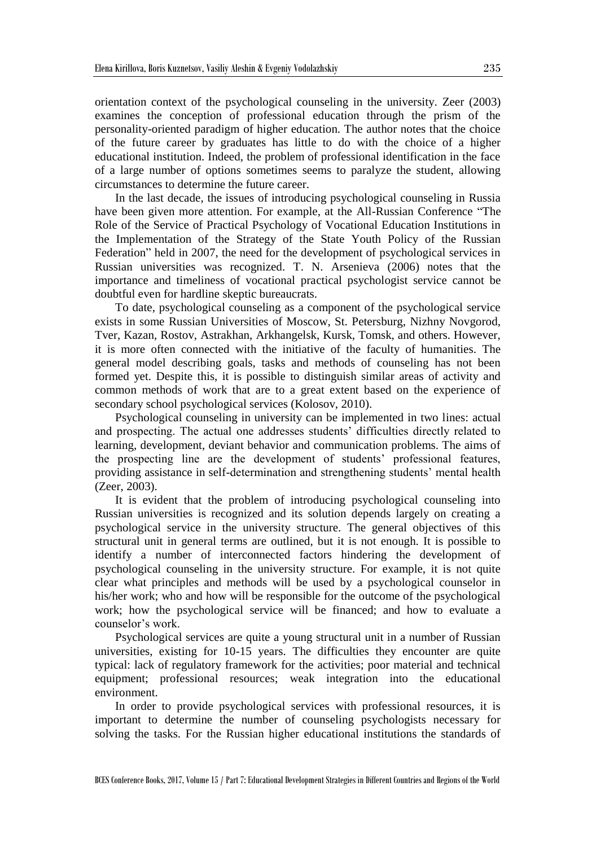orientation context of the psychological counseling in the university. Zeer (2003) examines the conception of professional education through the prism of the personality-oriented paradigm of higher education. The author notes that the choice of the future career by graduates has little to do with the choice of a higher educational institution. Indeed, the problem of professional identification in the face of a large number of options sometimes seems to paralyze the student, allowing circumstances to determine the future career.

In the last decade, the issues of introducing psychological counseling in Russia have been given more attention. For example, at the All-Russian Conference "The Role of the Service of Practical Psychology of Vocational Education Institutions in the Implementation of the Strategy of the State Youth Policy of the Russian Federation" held in 2007, the need for the development of psychological services in Russian universities was recognized. T. N. Arsenieva (2006) notes that the importance and timeliness of vocational practical psychologist service cannot be doubtful even for hardline skeptic bureaucrats.

To date, psychological counseling as a component of the psychological service exists in some Russian Universities of Moscow, St. Petersburg, Nizhny Novgorod, Tver, Kazan, Rostov, Astrakhan, Arkhangelsk, Kursk, Tomsk, and others. However, it is more often connected with the initiative of the faculty of humanities. The general model describing goals, tasks and methods of counseling has not been formed yet. Despite this, it is possible to distinguish similar areas of activity and common methods of work that are to a great extent based on the experience of secondary school psychological services (Kolosov, 2010).

Psychological counseling in university can be implemented in two lines: actual and prospecting. The actual one addresses students' difficulties directly related to learning, development, deviant behavior and communication problems. The aims of the prospecting line are the development of students' professional features, providing assistance in self-determination and strengthening students' mental health (Zeer, 2003).

It is evident that the problem of introducing psychological counseling into Russian universities is recognized and its solution depends largely on creating a psychological service in the university structure. The general objectives of this structural unit in general terms are outlined, but it is not enough. It is possible to identify a number of interconnected factors hindering the development of psychological counseling in the university structure. For example, it is not quite clear what principles and methods will be used by a psychological counselor in his/her work; who and how will be responsible for the outcome of the psychological work; how the psychological service will be financed; and how to evaluate a counselor's work.

Psychological services are quite a young structural unit in a number of Russian universities, existing for 10-15 years. The difficulties they encounter are quite typical: lack of regulatory framework for the activities; poor material and technical equipment; professional resources; weak integration into the educational environment.

In order to provide psychological services with professional resources, it is important to determine the number of counseling psychologists necessary for solving the tasks. For the Russian higher educational institutions the standards of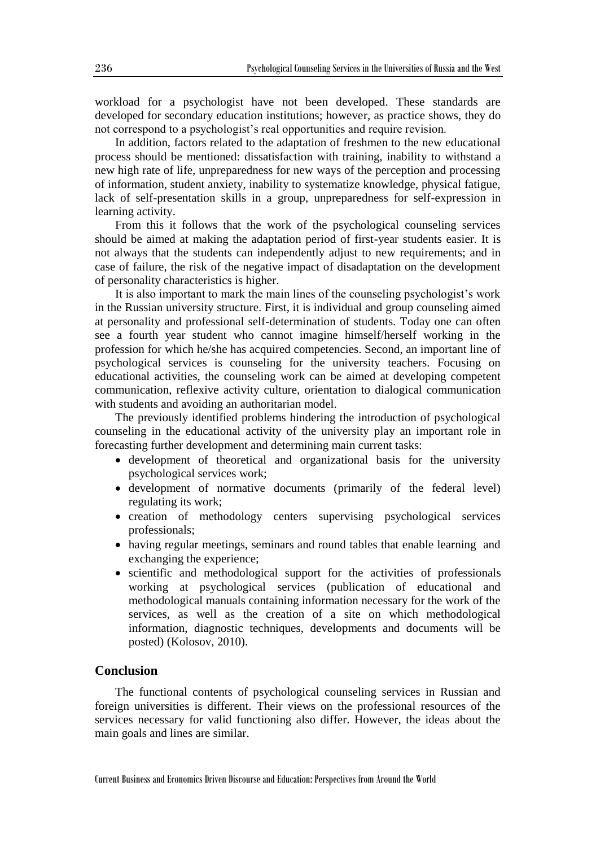workload for a psychologist have not been developed. These standards are developed for secondary education institutions; however, as practice shows, they do not correspond to a psychologist's real opportunities and require revision.

In addition, factors related to the adaptation of freshmen to the new educational process should be mentioned: dissatisfaction with training, inability to withstand a new high rate of life, unpreparedness for new ways of the perception and processing of information, student anxiety, inability to systematize knowledge, physical fatigue, lack of self-presentation skills in a group, unpreparedness for self-expression in learning activity.

From this it follows that the work of the psychological counseling services should be aimed at making the adaptation period of first-year students easier. It is not always that the students can independently adjust to new requirements; and in case of failure, the risk of the negative impact of disadaptation on the development of personality characteristics is higher.

It is also important to mark the main lines of the counseling psychologist's work in the Russian university structure. First, it is individual and group counseling aimed at personality and professional self-determination of students. Today one can often see a fourth year student who cannot imagine himself/herself working in the profession for which he/she has acquired competencies. Second, an important line of psychological services is counseling for the university teachers. Focusing on educational activities, the counseling work can be aimed at developing competent communication, reflexive activity culture, orientation to dialogical communication with students and avoiding an authoritarian model.

The previously identified problems hindering the introduction of psychological counseling in the educational activity of the university play an important role in forecasting further development and determining main current tasks:

- development of theoretical and organizational basis for the university psychological services work;
- development of normative documents (primarily of the federal level) regulating its work;
- creation of methodology centers supervising psychological services professionals;
- having regular meetings, seminars and round tables that enable learning and exchanging the experience;
- scientific and methodological support for the activities of professionals working at psychological services (publication of educational and methodological manuals containing information necessary for the work of the services, as well as the creation of a site on which methodological information, diagnostic techniques, developments and documents will be posted) (Kolosov, 2010).

# **Conclusion**

The functional contents of psychological counseling services in Russian and foreign universities is different. Their views on the professional resources of the services necessary for valid functioning also differ. However, the ideas about the main goals and lines are similar.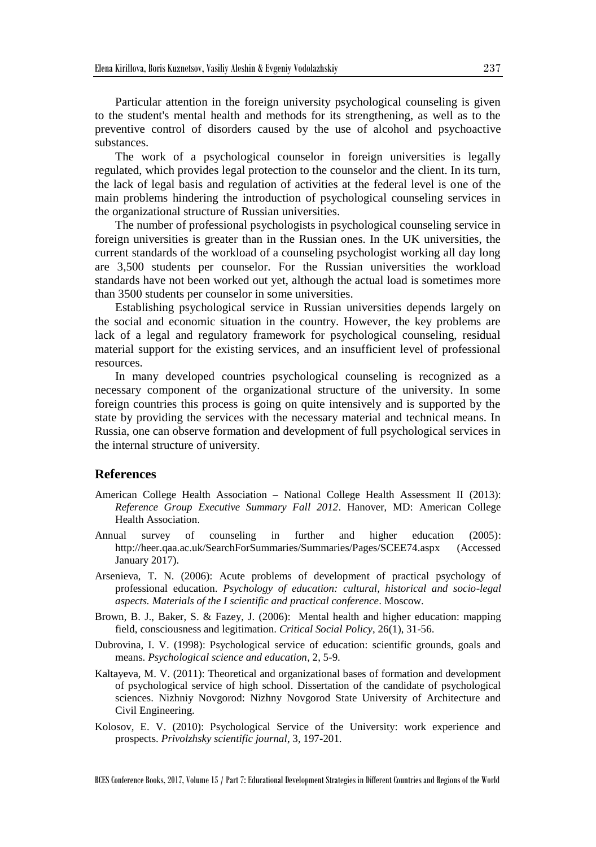Particular attention in the foreign university psychological counseling is given to the student's mental health and methods for its strengthening, as well as to the preventive control of disorders caused by the use of alcohol and psychoactive substances.

The work of a psychological counselor in foreign universities is legally regulated, which provides legal protection to the counselor and the client. In its turn, the lack of legal basis and regulation of activities at the federal level is one of the main problems hindering the introduction of psychological counseling services in the organizational structure of Russian universities.

The number of professional psychologists in psychological counseling service in foreign universities is greater than in the Russian ones. In the UK universities, the current standards of the workload of a counseling psychologist working all day long are 3,500 students per counselor. For the Russian universities the workload standards have not been worked out yet, although the actual load is sometimes more than 3500 students per counselor in some universities.

Establishing psychological service in Russian universities depends largely on the social and economic situation in the country. However, the key problems are lack of a legal and regulatory framework for psychological counseling, residual material support for the existing services, and an insufficient level of professional resources.

In many developed countries psychological counseling is recognized as a necessary component of the organizational structure of the university. In some foreign countries this process is going on quite intensively and is supported by the state by providing the services with the necessary material and technical means. In Russia, one can observe formation and development of full psychological services in the internal structure of university.

#### **References**

- American College Health Association National College Health Assessment II (2013): *Reference Group Executive Summary Fall 2012*. Hanover, MD: American College Health Association.
- Annual survey of counseling in further and higher education (2005): http://heer.qaa.ac.uk/SearchForSummaries/Summaries/Pages/SCEE74.aspx (Accessed January 2017).
- Arsenieva, T. N. (2006): Acute problems of development of practical psychology of professional education. *Psychology of education: cultural, historical and socio-legal aspects. Materials of the I scientific and practical conference*. Moscow.
- Brown, B. J., Baker, S. & Fazey, J. (2006): Mental health and higher education: mapping field, consciousness and legitimation. *Critical Social Policy*, 26(1), 31-56.
- Dubrovina, I. V. (1998): Psychological service of education: scientific grounds, goals and means. *Psychological science and education*, 2, 5-9.
- Kaltayeva, M. V. (2011): Theoretical and organizational bases of formation and development of psychological service of high school. Dissertation of the candidate of psychological sciences. Nizhniy Novgorod: Nizhny Novgorod State University of Architecture and Civil Engineering.
- Kolosov, E. V. (2010): Psychological Service of the University: work experience and prospects. *Privolzhsky scientific journal*, 3, 197-201.